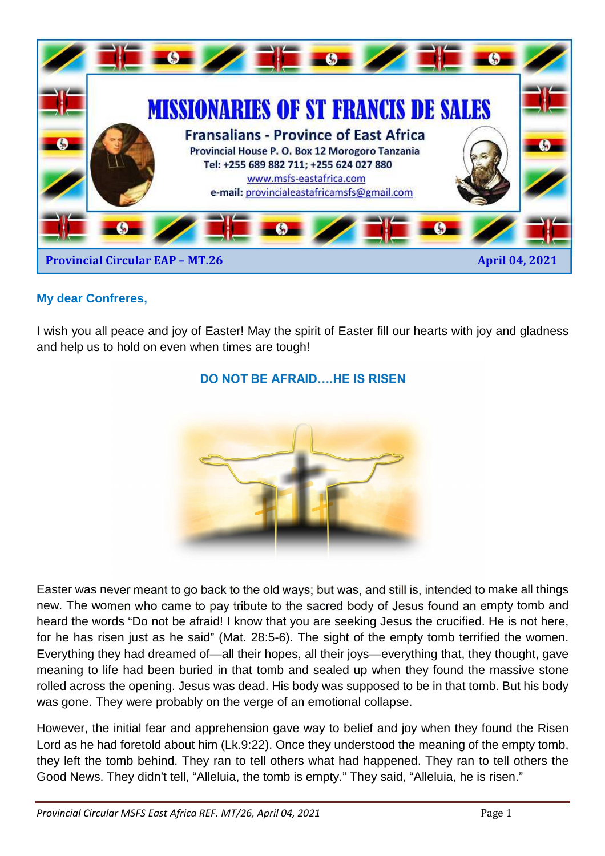

#### **My dear Confreres,**

I wish you all peace and joy of Easter! May the spirit of Easter fill our hearts with joy and gladness and help us to hold on even when times are tough!



#### **DO NOT BE AFRAID….HE IS RISEN**

Easter was never meant to go back to the old ways; but was, and still is, intended to make all things new. The women who came to pay tribute to the sacred body of Jesus found an empty tomb and heard the words "Do not be afraid! I know that you are seeking Jesus the crucified. He is not here, for he has risen just as he said" (Mat. 28:5-6). The sight of the empty tomb terrified the women. Everything they had dreamed of—all their hopes, all their joys—everything that, they thought, gave meaning to life had been buried in that tomb and sealed up when they found the massive stone rolled across the opening. Jesus was dead. His body was supposed to be in that tomb. But his body was gone. They were probably on the verge of an emotional collapse.

However, the initial fear and apprehension gave way to belief and joy when they found the Risen Lord as he had foretold about him (Lk.9:22). Once they understood the meaning of the empty tomb, they left the tomb behind. They ran to tell others what had happened. They ran to tell others the Good News. They didn't tell, "Alleluia, the tomb is empty." They said, "Alleluia, he is risen."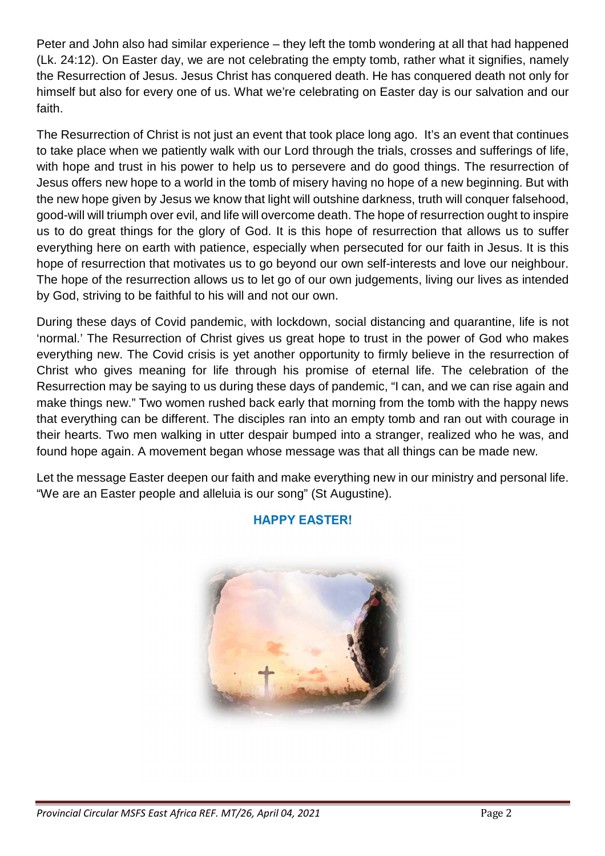Peter and John also had similar experience – they left the tomb wondering at all that had happened (Lk. 24:12). On Easter day, we are not celebrating the empty tomb, rather what it signifies, namely the Resurrection of Jesus. Jesus Christ has conquered death. He has conquered death not only for himself but also for every one of us. What we're celebrating on Easter day is our salvation and our faith.

The Resurrection of Christ is not just an event that took place long ago. It's an event that continues to take place when we patiently walk with our Lord through the trials, crosses and sufferings of life, with hope and trust in his power to help us to persevere and do good things. The resurrection of Jesus offers new hope to a world in the tomb of misery having no hope of a new beginning. But with the new hope given by Jesus we know that light will outshine darkness, truth will conquer falsehood, good-will will triumph over evil, and life will overcome death. The hope of resurrection ought to inspire us to do great things for the glory of God. It is this hope of resurrection that allows us to suffer everything here on earth with patience, especially when persecuted for our faith in Jesus. It is this hope of resurrection that motivates us to go beyond our own self-interests and love our neighbour. The hope of the resurrection allows us to let go of our own judgements, living our lives as intended by God, striving to be faithful to his will and not our own.

During these days of Covid pandemic, with lockdown, social distancing and quarantine, life is not 'normal.' The Resurrection of Christ gives us great hope to trust in the power of God who makes everything new. The Covid crisis is yet another opportunity to firmly believe in the resurrection of Christ who gives meaning for life through his promise of eternal life. The celebration of the Resurrection may be saying to us during these days of pandemic, "I can, and we can rise again and make things new." Two women rushed back early that morning from the tomb with the happy news that everything can be different. The disciples ran into an empty tomb and ran out with courage in their hearts. Two men walking in utter despair bumped into a stranger, realized who he was, and found hope again. A movement began whose message was that all things can be made new.

Let the message Easter deepen our faith and make everything new in our ministry and personal life. "We are an Easter people and alleluia is our song" (St Augustine).



# **HAPPY EASTER!**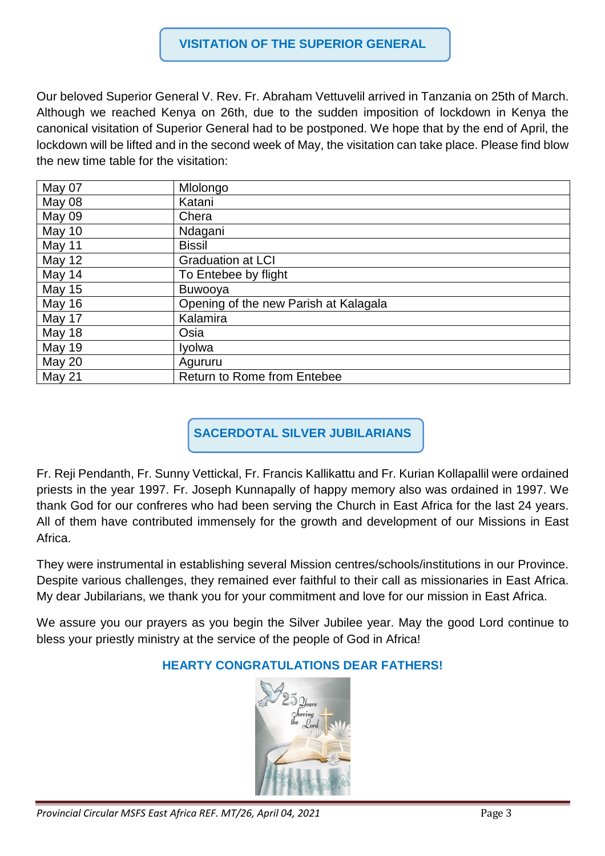#### **VISITATION OF THE SUPERIOR GENERAL**

Our beloved Superior General V. Rev. Fr. Abraham Vettuvelil arrived in Tanzania on 25th of March. Although we reached Kenya on 26th, due to the sudden imposition of lockdown in Kenya the canonical visitation of Superior General had to be postponed. We hope that by the end of April, the lockdown will be lifted and in the second week of May, the visitation can take place. Please find blow the new time table for the visitation:

| May 07        | Mlolongo                              |
|---------------|---------------------------------------|
| May 08        | Katani                                |
| May 09        | Chera                                 |
| May 10        | Ndagani                               |
| May 11        | <b>Bissil</b>                         |
| May $12$      | <b>Graduation at LCI</b>              |
| May 14        | To Entebee by flight                  |
| <b>May 15</b> | <b>Buwooya</b>                        |
| May 16        | Opening of the new Parish at Kalagala |
| May 17        | Kalamira                              |
| May 18        | Osia                                  |
| <b>May 19</b> | Iyolwa                                |
| <b>May 20</b> | Agururu                               |
| May 21        | <b>Return to Rome from Entebee</b>    |

**SACERDOTAL SILVER JUBILARIANS** 

Fr. Reji Pendanth, Fr. Sunny Vettickal, Fr. Francis Kallikattu and Fr. Kurian Kollapallil were ordained priests in the year 1997. Fr. Joseph Kunnapally of happy memory also was ordained in 1997. We thank God for our confreres who had been serving the Church in East Africa for the last 24 years. All of them have contributed immensely for the growth and development of our Missions in East Africa.

They were instrumental in establishing several Mission centres/schools/institutions in our Province. Despite various challenges, they remained ever faithful to their call as missionaries in East Africa. My dear Jubilarians, we thank you for your commitment and love for our mission in East Africa.

We assure you our prayers as you begin the Silver Jubilee year. May the good Lord continue to bless your priestly ministry at the service of the people of God in Africa!

# **HEARTY CONGRATULATIONS DEAR FATHERS!**

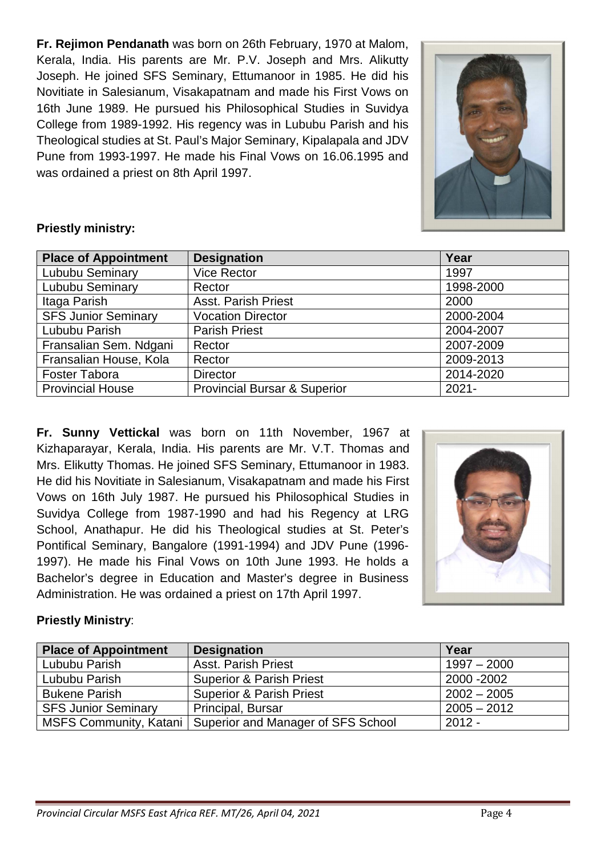**Fr. Rejimon Pendanath** was born on 26th February, 1970 at Malom, Kerala, India. His parents are Mr. P.V. Joseph and Mrs. Alikutty Joseph. He joined SFS Seminary, Ettumanoor in 1985. He did his Novitiate in Salesianum, Visakapatnam and made his First Vows on 16th June 1989. He pursued his Philosophical Studies in Suvidya College from 1989-1992. His regency was in Lububu Parish and his Theological studies at St. Paul's Major Seminary, Kipalapala and JDV Pune from 1993-1997. He made his Final Vows on 16.06.1995 and was ordained a priest on 8th April 1997.



#### **Priestly ministry:**

| <b>Place of Appointment</b> | <b>Designation</b>                      | Year      |
|-----------------------------|-----------------------------------------|-----------|
| Lububu Seminary             | <b>Vice Rector</b>                      | 1997      |
| Lububu Seminary             | Rector                                  | 1998-2000 |
| Itaga Parish                | <b>Asst. Parish Priest</b>              | 2000      |
| <b>SFS Junior Seminary</b>  | <b>Vocation Director</b>                | 2000-2004 |
| Lububu Parish               | <b>Parish Priest</b>                    | 2004-2007 |
| Fransalian Sem. Ndgani      | Rector                                  | 2007-2009 |
| Fransalian House, Kola      | Rector                                  | 2009-2013 |
| <b>Foster Tabora</b>        | <b>Director</b>                         | 2014-2020 |
| <b>Provincial House</b>     | <b>Provincial Bursar &amp; Superior</b> | $2021 -$  |

**Fr. Sunny Vettickal** was born on 11th November, 1967 at Kizhaparayar, Kerala, India. His parents are Mr. V.T. Thomas and Mrs. Elikutty Thomas. He joined SFS Seminary, Ettumanoor in 1983. He did his Novitiate in Salesianum, Visakapatnam and made his First Vows on 16th July 1987. He pursued his Philosophical Studies in Suvidya College from 1987-1990 and had his Regency at LRG School, Anathapur. He did his Theological studies at St. Peter's Pontifical Seminary, Bangalore (1991-1994) and JDV Pune (1996- 1997). He made his Final Vows on 10th June 1993. He holds a Bachelor's degree in Education and Master's degree in Business Administration. He was ordained a priest on 17th April 1997.



# **Priestly Ministry**:

| <b>Place of Appointment</b> | <b>Designation</b>                                          | Year          |
|-----------------------------|-------------------------------------------------------------|---------------|
| Lububu Parish               | <b>Asst. Parish Priest</b>                                  | $1997 - 2000$ |
| Lububu Parish               | <b>Superior &amp; Parish Priest</b>                         | 2000 - 2002   |
| <b>Bukene Parish</b>        | <b>Superior &amp; Parish Priest</b>                         | $2002 - 2005$ |
| <b>SFS Junior Seminary</b>  | Principal, Bursar                                           | $2005 - 2012$ |
|                             | MSFS Community, Katani   Superior and Manager of SFS School | $2012 -$      |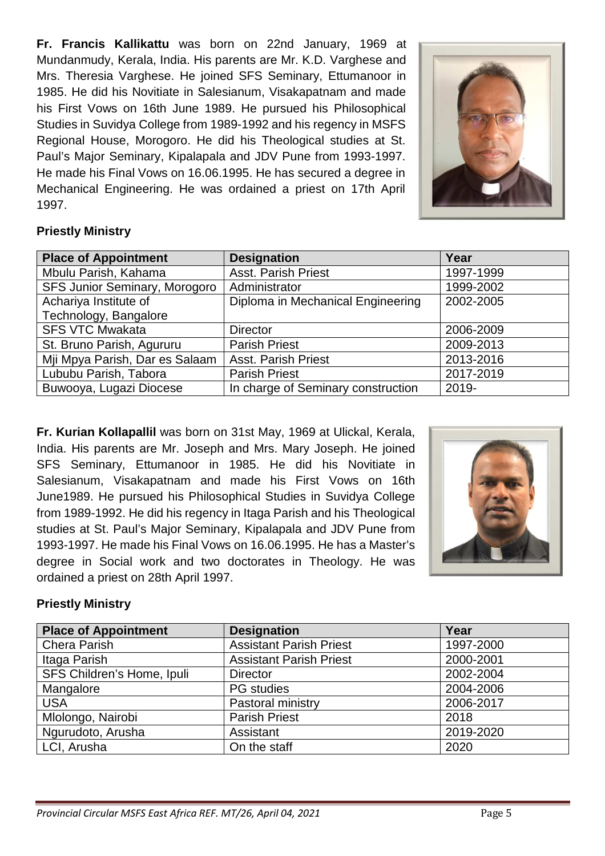**Fr. Francis Kallikattu** was born on 22nd January, 1969 at Mundanmudy, Kerala, India. His parents are Mr. K.D. Varghese and Mrs. Theresia Varghese. He joined SFS Seminary, Ettumanoor in 1985. He did his Novitiate in Salesianum, Visakapatnam and made his First Vows on 16th June 1989. He pursued his Philosophical Studies in Suvidya College from 1989-1992 and his regency in MSFS Regional House, Morogoro. He did his Theological studies at St. Paul's Major Seminary, Kipalapala and JDV Pune from 1993-1997. He made his Final Vows on 16.06.1995. He has secured a degree in Mechanical Engineering. He was ordained a priest on 17th April 1997.



#### **Priestly Ministry**

| <b>Place of Appointment</b>    | <b>Designation</b>                 | Year      |
|--------------------------------|------------------------------------|-----------|
| Mbulu Parish, Kahama           | <b>Asst. Parish Priest</b>         | 1997-1999 |
| SFS Junior Seminary, Morogoro  | Administrator                      | 1999-2002 |
| Achariya Institute of          | Diploma in Mechanical Engineering  | 2002-2005 |
| Technology, Bangalore          |                                    |           |
| <b>SFS VTC Mwakata</b>         | <b>Director</b>                    | 2006-2009 |
| St. Bruno Parish, Agururu      | <b>Parish Priest</b>               | 2009-2013 |
| Mji Mpya Parish, Dar es Salaam | <b>Asst. Parish Priest</b>         | 2013-2016 |
| Lububu Parish, Tabora          | <b>Parish Priest</b>               | 2017-2019 |
| Buwooya, Lugazi Diocese        | In charge of Seminary construction | 2019-     |

**Fr. Kurian Kollapallil** was born on 31st May, 1969 at Ulickal, Kerala, India. His parents are Mr. Joseph and Mrs. Mary Joseph. He joined SFS Seminary, Ettumanoor in 1985. He did his Novitiate in Salesianum, Visakapatnam and made his First Vows on 16th June1989. He pursued his Philosophical Studies in Suvidya College from 1989-1992. He did his regency in Itaga Parish and his Theological studies at St. Paul's Major Seminary, Kipalapala and JDV Pune from 1993-1997. He made his Final Vows on 16.06.1995. He has a Master's degree in Social work and two doctorates in Theology. He was ordained a priest on 28th April 1997.



#### **Priestly Ministry**

| <b>Place of Appointment</b> | <b>Designation</b>             | Year      |
|-----------------------------|--------------------------------|-----------|
| <b>Chera Parish</b>         | <b>Assistant Parish Priest</b> | 1997-2000 |
| Itaga Parish                | <b>Assistant Parish Priest</b> | 2000-2001 |
| SFS Children's Home, Ipuli  | <b>Director</b>                | 2002-2004 |
| Mangalore                   | <b>PG</b> studies              | 2004-2006 |
| <b>USA</b>                  | Pastoral ministry              | 2006-2017 |
| Mlolongo, Nairobi           | <b>Parish Priest</b>           | 2018      |
| Ngurudoto, Arusha           | Assistant                      | 2019-2020 |
| LCI, Arusha                 | On the staff                   | 2020      |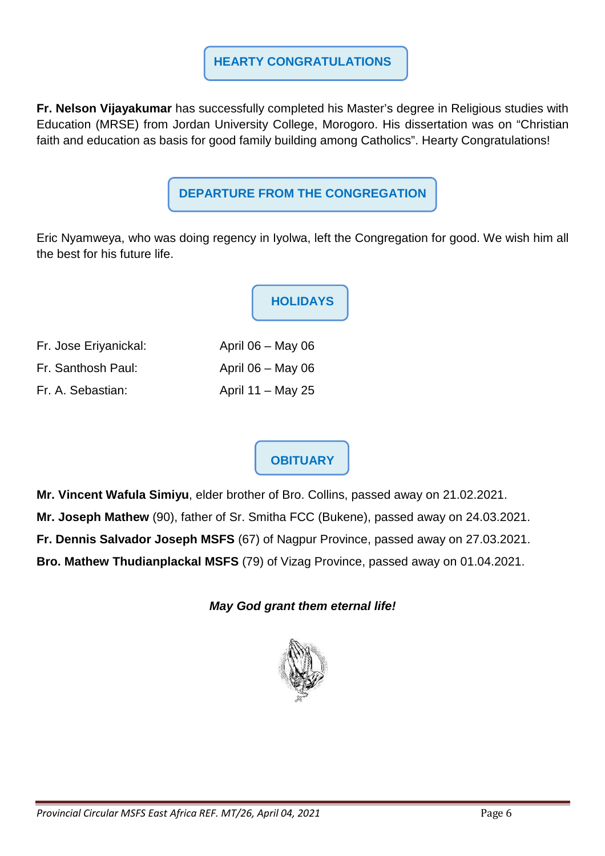#### **HEARTY CONGRATULATIONS**

**Fr. Nelson Vijayakumar** has successfully completed his Master's degree in Religious studies with Education (MRSE) from Jordan University College, Morogoro. His dissertation was on "Christian faith and education as basis for good family building among Catholics". Hearty Congratulations!

# **DEPARTURE FROM THE CONGREGATION**

Eric Nyamweya, who was doing regency in Iyolwa, left the Congregation for good. We wish him all the best for his future life.

|                       | <b>HOLIDAYS</b>     |
|-----------------------|---------------------|
| Fr. Jose Eriyanickal: | April $06 - May 06$ |
| Fr. Santhosh Paul:    | April $06 - May 06$ |
| Fr. A. Sebastian:     | April $11 - May 25$ |

# **OBITUARY**

**Mr. Vincent Wafula Simiyu**, elder brother of Bro. Collins, passed away on 21.02.2021. **Mr. Joseph Mathew** (90), father of Sr. Smitha FCC (Bukene), passed away on 24.03.2021. **Fr. Dennis Salvador Joseph MSFS** (67) of Nagpur Province, passed away on 27.03.2021. **Bro. Mathew Thudianplackal MSFS** (79) of Vizag Province, passed away on 01.04.2021.

**May God grant them eternal life!**